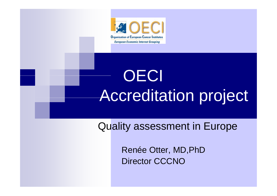

# **OECI** Accreditation project

Quality assessment in Europe

Renée Otter, MD,PhD Director CCCNO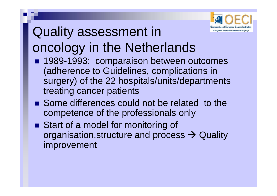

## Quality assessment in oncology in the Netherlands

- 1989-1993: comparaison between outcomes (adherence to Guidelines, complications in surgery) of the 22 hospitals/units/departments treating cancer patients
- Some differences could not be related to the competence of the professionals only
- Start of a model for monitoring of organisation,structure and process  $\rightarrow$  Quality improvement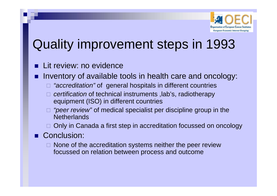

## Quality improvement steps in 1993

#### Π Lit review: no evidence

п Inventory of available tools in health care and oncology:

- □ *"accreditation"* of general hospitals in different countries
- □ certification of technical instruments , lab's, radiotherapy equipment (ISO) in different countries
- *"peer review"* of medical specialist per discipline group in the **Netherlands**

□ Only in Canada a first step in accreditation focussed on oncology

### ■ Conclusion:

□ None of the accreditation systems neither the peer review focussed on relation between process and outcome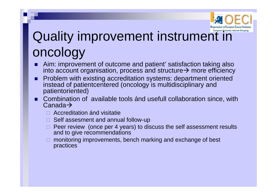

## Quality improvement instrument in oncology

- Aim: improvement of outcome and patient' satisfaction taking also into account organisation, process and structure  $\rightarrow$  more efficiency
- Problem with existing accreditation systems: department oriented instead of patientcentered (oncology is multidisciplinary and patientoriented)
- Combination of available tools and usefull collaboration since, with  $Canada<sub>2</sub>$ 
	- $\Box$  Accreditation and visitatie
	- $\Box$  Self assesment and annual follow-up
	- $\Box$  Peer review (once per 4 years) to discuss the self assessment results and to give recommendations
	- monitoring improvements, bench marking and exchange of best practices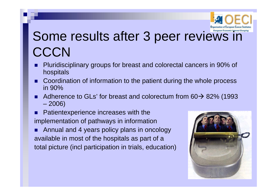

## Some results after 3 peer reviews in **CCCN**

- Pluridisciplinary groups for breast and colorectal cancers in 90% of hospitals
- Coordination of information to the patient during the whole process in 90%
- Adherence to GLs' for breast and colorectum from  $60 \rightarrow 82\%$  (1993 2006)
- Patientexperience increases with the implementation of pathways in information
- П Annual and 4 years policy plans in oncology available in most of the hospitals as part of a total picture (incl participation in trials, education)

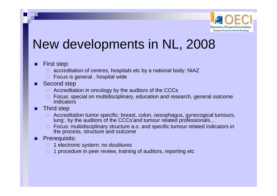

### New developments in NL, 2008

#### п First step:

- □ accreditation of centres, hospitals etc by a national body: NIAZ
- $\Box$  Focus is general , hospital wide

#### п Second step

- Accreditation in oncology by the auditors of the CCCs
- Focus: special on multidisciplinary, education and research, general outcome indicators

#### П Third step

- □ Accreditation tumor specific: breast, colon, oesophagus, gynecogical tumours, lung', by the auditors of the CCCs'and tumour related professionals...
- □ Focus: multidisciplinary structure a.o. and specific tumour related indicators in the process, structure and outcome

#### п Prerequisits:

- 1 electronic system: no doublures
- $\Box$ 1 procedure in peer review, training of auditors, reporting etc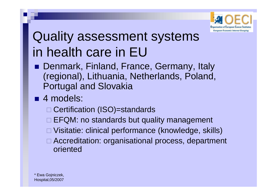

### Quality assessment systems in health care in EU

- Denmark, Finland, France, Germany, Italy (regional), Lithuania, Netherlands, Poland, Portugal and Slovakia
- 4 models:
	- □ Certification (ISO)=standards
	- EFQM: no standards but quality management
	- Visitatie: clinical performance (knowledge, skills)
	- $\square$  Accreditation: organisational process, department oriented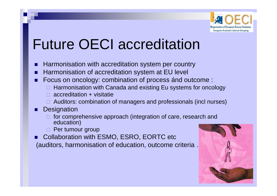

## Future OECI accreditation

- п Harmonisation with accreditation system per country
- Harmonisation of accreditation system at EU level
- п Focus on oncology: combination of process ánd outcome :
	- □ Harmonisation with Canada and existing Eu systems for oncology
	- $\Box$  accreditation + visitatie
	- □ Auditors: combination of managers and professionals (incl nurses)
- п **Designation** 
	- $\Box$  for comprehensive approach (integration of care, research and education)
	- **Per tumour group**
- **Collaboration with ESMO, ESRO, EORTC etc** (auditors, harmonisation of education, outcome criteria .

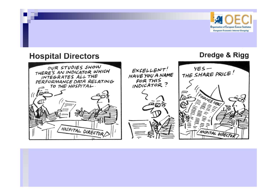

### **Hospital Directors**

### Dredge & Rigg

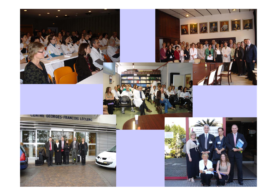